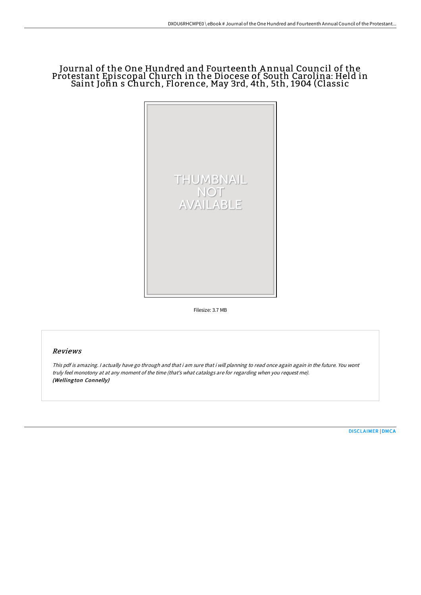## Journal of the One Hundred and Fourteenth A nnual Council of the Protestant Episcopal Church in the Diocese of South Carolina: Held in Saint John s Church, Florence, May 3rd, 4th, 5th, 1904 (Classic



Filesize: 3.7 MB

## Reviews

This pdf is amazing. <sup>I</sup> actually have go through and that i am sure that i will planning to read once again again in the future. You wont truly feel monotony at at any moment of the time (that's what catalogs are for regarding when you request me). (Wellington Connelly)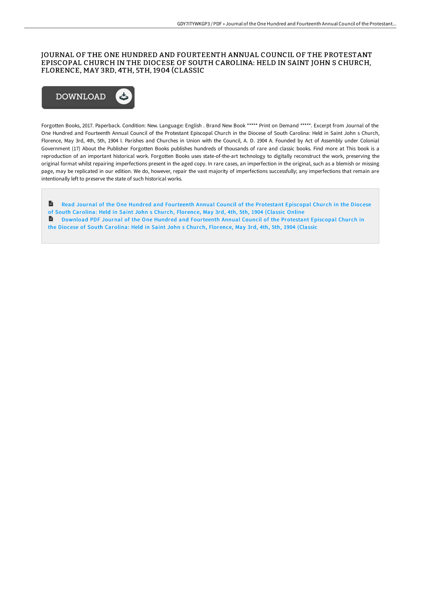## JOURNAL OF THE ONE HUNDRED AND FOURTEENTH ANNUAL COUNCIL OF THE PROTESTANT EPISCOPAL CHURCH IN THE DIOCESE OF SOUTH CAROLINA: HELD IN SAINT JOHN S CHURCH, FLORENCE, MAY 3RD, 4TH, 5TH, 1904 (CLASSIC



Forgotten Books, 2017. Paperback. Condition: New. Language: English . Brand New Book \*\*\*\*\* Print on Demand \*\*\*\*\*. Excerpt from Journal of the One Hundred and Fourteenth Annual Council of the Protestant Episcopal Church in the Diocese of South Carolina: Held in Saint John s Church, Florence, May 3rd, 4th, 5th, 1904 I. Parishes and Churches in Union with the Council, A. D. 1904 A. Founded by Act of Assembly under Colonial Government (17) About the Publisher Forgotten Books publishes hundreds of thousands of rare and classic books. Find more at This book is a reproduction of an important historical work. Forgotten Books uses state-of-the-art technology to digitally reconstruct the work, preserving the original format whilst repairing imperfections present in the aged copy. In rare cases, an imperfection in the original, such as a blemish or missing page, may be replicated in our edition. We do, however, repair the vast majority of imperfections successfully; any imperfections that remain are intentionally left to preserve the state of such historical works.

 $\mathbf{r}$ Read Journal of the One Hundred and [Fourteenth](http://www.bookdirs.com/journal-of-the-one-hundred-and-fourteenth-annual.html) Annual Council of the Protestant Episcopal Church in the Diocese of South Carolina: Held in Saint John s Church, Florence, May 3rd, 4th, 5th, 1904 (Classic Online **Download PDF Journal of the One Hundred and [Fourteenth](http://www.bookdirs.com/journal-of-the-one-hundred-and-fourteenth-annual.html) Annual Council of the Protestant Episcopal Church in** the Diocese of South Carolina: Held in Saint John s Church, Florence, May 3rd, 4th, 5th, 1904 (Classic